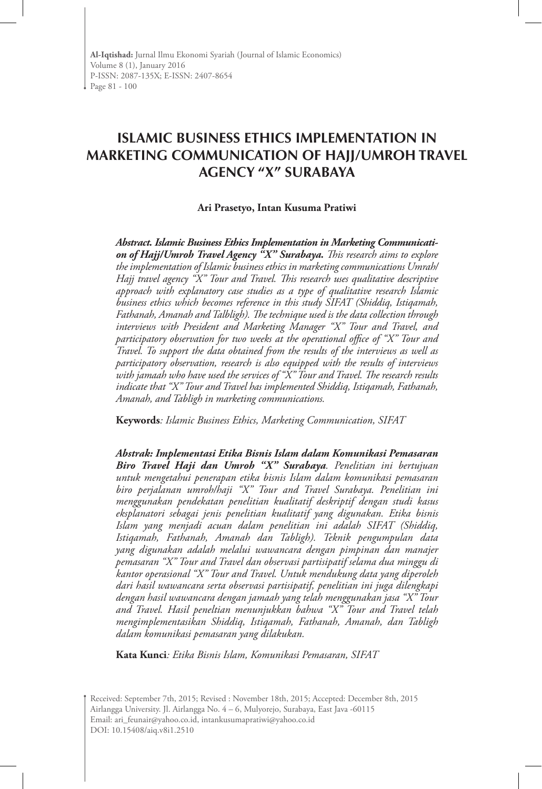# **ISLAMIC BUSINESS ETHICS IMPLEMENTATION IN MARKETING COMMUNICATION OF HAJJ/UMROH TRAVEL AGENCY "X" SURABAYA**

#### **Ari Prasetyo, Intan Kusuma Pratiwi**

*Abstract. Islamic Business Ethics Implementation in Marketing Communicati on of Hajj/Umroh Travel Agency "X" Surabaya. This research aims to explore the implementation of Islamic business ethics in marketing communications Umrah/ Hajj travel agency "X" Tour and Travel. This research uses qualitative descriptive approach with explanatory case studies as a type of qualitative research Islamic business ethics which becomes reference in this study SIFAT (Shiddiq, Istiqamah, Fathanah, Amanah and Talbligh). The technique used is the data collection through interviews with President and Marketing Manager "X" Tour and Travel, and participatory observation for two weeks at the operational office of "X" Tour and Travel. To support the data obtained from the results of the interviews as well as participatory observation, research is also equipped with the results of interviews with jamaah who have used the services of "X" Tour and Travel. The research results indicate that "X" Tour and Travel has implemented Shiddiq, Istiqamah, Fathanah, Amanah, and Tabligh in marketing communications.*

**Keywords***: Islamic Business Ethics, Marketing Communication, SIFAT*

*Abstrak: Implementasi Etika Bisnis Islam dalam Komunikasi Pemasaran Biro Travel Haji dan Umroh "X" Surabaya. Penelitian ini bertujuan untuk mengetahui penerapan etika bisnis Islam dalam komunikasi pemasaran biro perjalanan umroh/haji "X" Tour and Travel Surabaya. Penelitian ini menggunakan pendekatan penelitian kualitatif deskriptif dengan studi kasus eksplanatori sebagai jenis penelitian kualitatif yang digunakan. Etika bisnis Islam yang menjadi acuan dalam penelitian ini adalah SIFAT (Shiddiq, Istiqamah, Fathanah, Amanah dan Tabligh). Teknik pengumpulan data yang digunakan adalah melalui wawancara dengan pimpinan dan manajer pemasaran "X" Tour and Travel dan observasi partisipatif selama dua minggu di kantor operasional "X" Tour and Travel. Untuk mendukung data yang diperoleh dari hasil wawancara serta observasi partisipatif, penelitian ini juga dilengkapi dengan hasil wawancara dengan jamaah yang telah menggunakan jasa "X" Tour and Travel. Hasil peneltian menunjukkan bahwa "X" Tour and Travel telah mengimplementasikan Shiddiq, Istiqamah, Fathanah, Amanah, dan Tabligh dalam komunikasi pemasaran yang dilakukan.*

**Kata Kunci***: Etika Bisnis Islam, Komunikasi Pemasaran, SIFAT*

Received: September 7th, 2015; Revised : November 18th, 2015; Accepted: December 8th, 2015 Airlangga University. Jl. Airlangga No. 4 – 6, Mulyorejo, Surabaya, East Java -60115 Email: ari\_feunair@yahoo.co.id, intankusumapratiwi@yahoo.co.id DOI: 10.15408/aiq.v8i1.2510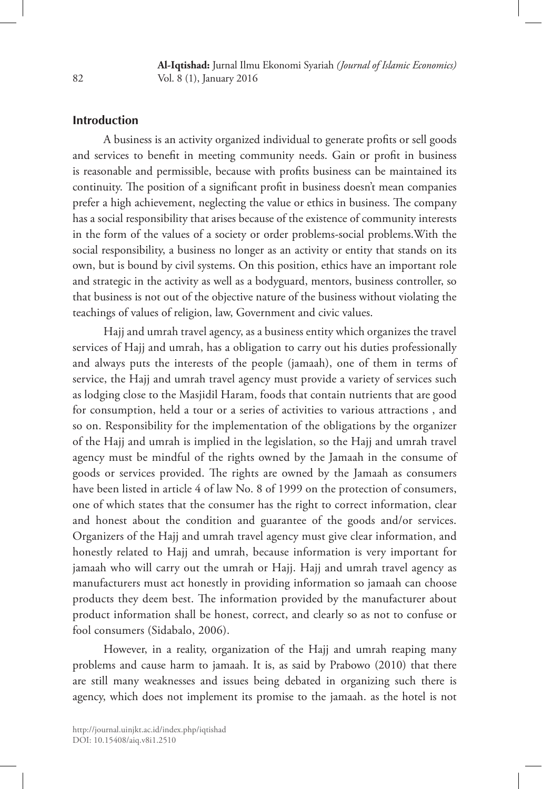# **Introduction**

A business is an activity organized individual to generate profits or sell goods and services to benefit in meeting community needs. Gain or profit in business is reasonable and permissible, because with profits business can be maintained its continuity. The position of a significant profit in business doesn't mean companies prefer a high achievement, neglecting the value or ethics in business. The company has a social responsibility that arises because of the existence of community interests in the form of the values of a society or order problems-social problems.With the social responsibility, a business no longer as an activity or entity that stands on its own, but is bound by civil systems. On this position, ethics have an important role and strategic in the activity as well as a bodyguard, mentors, business controller, so that business is not out of the objective nature of the business without violating the teachings of values of religion, law, Government and civic values.

Hajj and umrah travel agency, as a business entity which organizes the travel services of Hajj and umrah, has a obligation to carry out his duties professionally and always puts the interests of the people (jamaah), one of them in terms of service, the Hajj and umrah travel agency must provide a variety of services such as lodging close to the Masjidil Haram, foods that contain nutrients that are good for consumption, held a tour or a series of activities to various attractions , and so on. Responsibility for the implementation of the obligations by the organizer of the Hajj and umrah is implied in the legislation, so the Hajj and umrah travel agency must be mindful of the rights owned by the Jamaah in the consume of goods or services provided. The rights are owned by the Jamaah as consumers have been listed in article 4 of law No. 8 of 1999 on the protection of consumers, one of which states that the consumer has the right to correct information, clear and honest about the condition and guarantee of the goods and/or services. Organizers of the Hajj and umrah travel agency must give clear information, and honestly related to Hajj and umrah, because information is very important for jamaah who will carry out the umrah or Hajj. Hajj and umrah travel agency as manufacturers must act honestly in providing information so jamaah can choose products they deem best. The information provided by the manufacturer about product information shall be honest, correct, and clearly so as not to confuse or fool consumers (Sidabalo, 2006).

However, in a reality, organization of the Hajj and umrah reaping many problems and cause harm to jamaah. It is, as said by Prabowo (2010) that there are still many weaknesses and issues being debated in organizing such there is agency, which does not implement its promise to the jamaah. as the hotel is not

82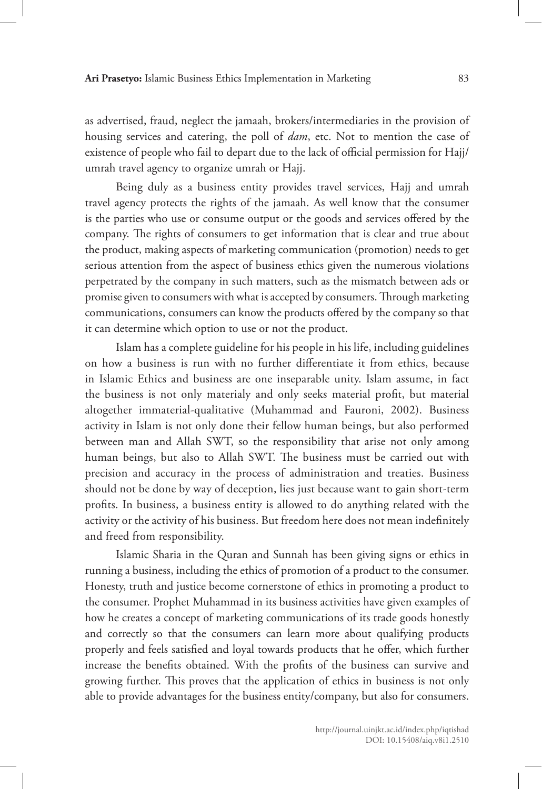as advertised, fraud, neglect the jamaah, brokers/intermediaries in the provision of housing services and catering, the poll of *dam*, etc. Not to mention the case of existence of people who fail to depart due to the lack of official permission for Hajj/ umrah travel agency to organize umrah or Hajj.

Being duly as a business entity provides travel services, Hajj and umrah travel agency protects the rights of the jamaah. As well know that the consumer is the parties who use or consume output or the goods and services offered by the company. The rights of consumers to get information that is clear and true about the product, making aspects of marketing communication (promotion) needs to get serious attention from the aspect of business ethics given the numerous violations perpetrated by the company in such matters, such as the mismatch between ads or promise given to consumers with what is accepted by consumers. Through marketing communications, consumers can know the products offered by the company so that it can determine which option to use or not the product.

Islam has a complete guideline for his people in his life, including guidelines on how a business is run with no further differentiate it from ethics, because in Islamic Ethics and business are one inseparable unity. Islam assume, in fact the business is not only materialy and only seeks material profit, but material altogether immaterial-qualitative (Muhammad and Fauroni, 2002). Business activity in Islam is not only done their fellow human beings, but also performed between man and Allah SWT, so the responsibility that arise not only among human beings, but also to Allah SWT. The business must be carried out with precision and accuracy in the process of administration and treaties. Business should not be done by way of deception, lies just because want to gain short-term profits. In business, a business entity is allowed to do anything related with the activity or the activity of his business. But freedom here does not mean indefinitely and freed from responsibility.

Islamic Sharia in the Quran and Sunnah has been giving signs or ethics in running a business, including the ethics of promotion of a product to the consumer. Honesty, truth and justice become cornerstone of ethics in promoting a product to the consumer. Prophet Muhammad in its business activities have given examples of how he creates a concept of marketing communications of its trade goods honestly and correctly so that the consumers can learn more about qualifying products properly and feels satisfied and loyal towards products that he offer, which further increase the benefits obtained. With the profits of the business can survive and growing further. This proves that the application of ethics in business is not only able to provide advantages for the business entity/company, but also for consumers.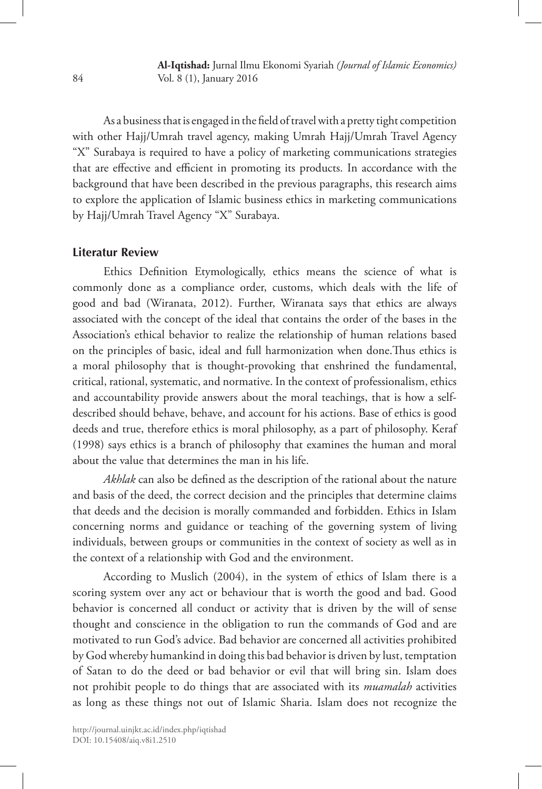As a business that is engaged in the field of travel with a pretty tight competition with other Hajj/Umrah travel agency, making Umrah Hajj/Umrah Travel Agency "X" Surabaya is required to have a policy of marketing communications strategies that are effective and efficient in promoting its products. In accordance with the background that have been described in the previous paragraphs, this research aims to explore the application of Islamic business ethics in marketing communications by Hajj/Umrah Travel Agency "X" Surabaya.

## **Literatur Review**

Ethics Definition Etymologically, ethics means the science of what is commonly done as a compliance order, customs, which deals with the life of good and bad (Wiranata, 2012). Further, Wiranata says that ethics are always associated with the concept of the ideal that contains the order of the bases in the Association's ethical behavior to realize the relationship of human relations based on the principles of basic, ideal and full harmonization when done.Thus ethics is a moral philosophy that is thought-provoking that enshrined the fundamental, critical, rational, systematic, and normative. In the context of professionalism, ethics and accountability provide answers about the moral teachings, that is how a selfdescribed should behave, behave, and account for his actions. Base of ethics is good deeds and true, therefore ethics is moral philosophy, as a part of philosophy. Keraf (1998) says ethics is a branch of philosophy that examines the human and moral about the value that determines the man in his life.

*Akhlak* can also be defined as the description of the rational about the nature and basis of the deed, the correct decision and the principles that determine claims that deeds and the decision is morally commanded and forbidden. Ethics in Islam concerning norms and guidance or teaching of the governing system of living individuals, between groups or communities in the context of society as well as in the context of a relationship with God and the environment.

According to Muslich (2004), in the system of ethics of Islam there is a scoring system over any act or behaviour that is worth the good and bad. Good behavior is concerned all conduct or activity that is driven by the will of sense thought and conscience in the obligation to run the commands of God and are motivated to run God's advice. Bad behavior are concerned all activities prohibited by God whereby humankind in doing this bad behavior is driven by lust, temptation of Satan to do the deed or bad behavior or evil that will bring sin. Islam does not prohibit people to do things that are associated with its *muamalah* activities as long as these things not out of Islamic Sharia. Islam does not recognize the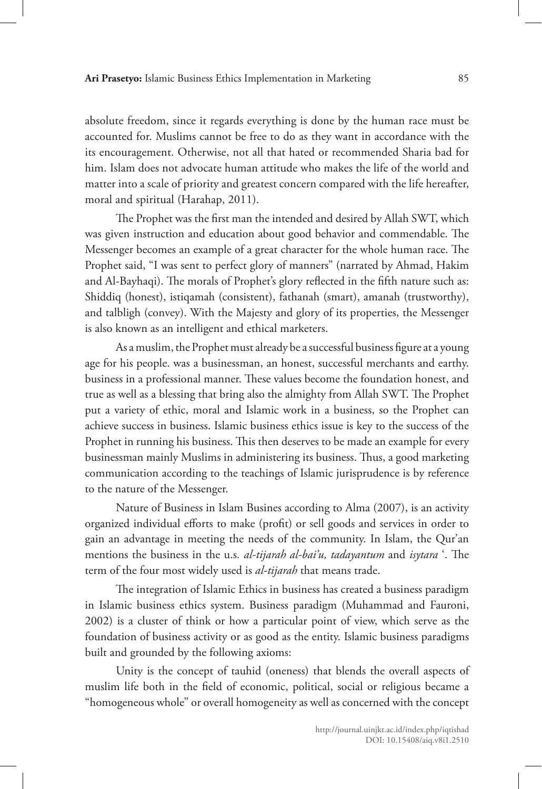absolute freedom, since it regards everything is done by the human race must be accounted for. Muslims cannot be free to do as they want in accordance with the its encouragement. Otherwise, not all that hated or recommended Sharia bad for him. Islam does not advocate human attitude who makes the life of the world and matter into a scale of priority and greatest concern compared with the life hereafter, moral and spiritual (Harahap, 2011).

The Prophet was the first man the intended and desired by Allah SWT, which was given instruction and education about good behavior and commendable. The Messenger becomes an example of a great character for the whole human race. The Prophet said, "I was sent to perfect glory of manners" (narrated by Ahmad, Hakim and Al-Bayhaqi). The morals of Prophet's glory reflected in the fifth nature such as: Shiddiq (honest), istiqamah (consistent), fathanah (smart), amanah (trustworthy), and talbligh (convey). With the Majesty and glory of its properties, the Messenger is also known as an intelligent and ethical marketers.

As a muslim, the Prophet must already be a successful business figure at a young age for his people. was a businessman, an honest, successful merchants and earthy. business in a professional manner. These values become the foundation honest, and true as well as a blessing that bring also the almighty from Allah SWT. The Prophet put a variety of ethic, moral and Islamic work in a business, so the Prophet can achieve success in business. Islamic business ethics issue is key to the success of the Prophet in running his business. This then deserves to be made an example for every businessman mainly Muslims in administering its business. Thus, a good marketing communication according to the teachings of Islamic jurisprudence is by reference to the nature of the Messenger.

Nature of Business in Islam Busines according to Alma (2007), is an activity organized individual efforts to make (profit) or sell goods and services in order to gain an advantage in meeting the needs of the community. In Islam, the Qur'an mentions the business in the u.s*. al-tijarah al-bai'u, tadayantum* and *isytara* '. The term of the four most widely used is *al-tijarah* that means trade.

The integration of Islamic Ethics in business has created a business paradigm in Islamic business ethics system. Business paradigm (Muhammad and Fauroni, 2002) is a cluster of think or how a particular point of view, which serve as the foundation of business activity or as good as the entity. Islamic business paradigms built and grounded by the following axioms:

Unity is the concept of tauhid (oneness) that blends the overall aspects of muslim life both in the field of economic, political, social or religious became a "homogeneous whole" or overall homogeneity as well as concerned with the concept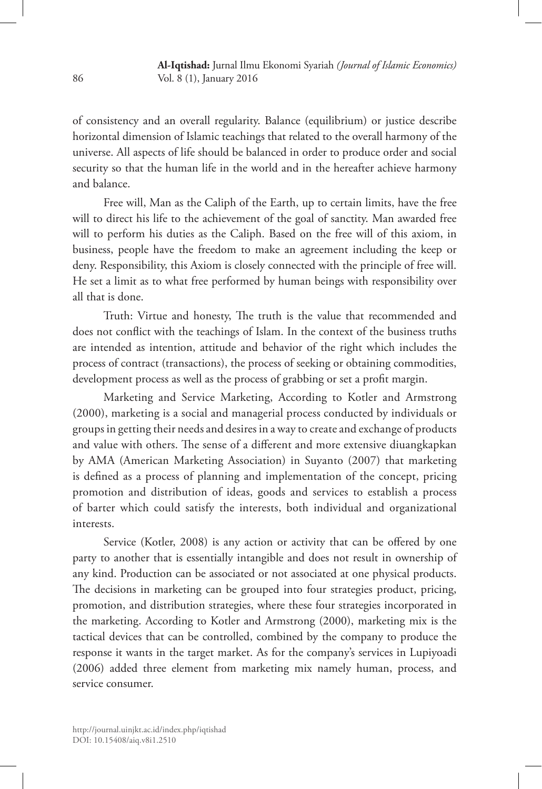of consistency and an overall regularity. Balance (equilibrium) or justice describe horizontal dimension of Islamic teachings that related to the overall harmony of the universe. All aspects of life should be balanced in order to produce order and social security so that the human life in the world and in the hereafter achieve harmony and balance.

Free will, Man as the Caliph of the Earth, up to certain limits, have the free will to direct his life to the achievement of the goal of sanctity. Man awarded free will to perform his duties as the Caliph. Based on the free will of this axiom, in business, people have the freedom to make an agreement including the keep or deny. Responsibility, this Axiom is closely connected with the principle of free will. He set a limit as to what free performed by human beings with responsibility over all that is done.

Truth: Virtue and honesty, The truth is the value that recommended and does not conflict with the teachings of Islam. In the context of the business truths are intended as intention, attitude and behavior of the right which includes the process of contract (transactions), the process of seeking or obtaining commodities, development process as well as the process of grabbing or set a profit margin.

Marketing and Service Marketing, According to Kotler and Armstrong (2000), marketing is a social and managerial process conducted by individuals or groups in getting their needs and desires in a way to create and exchange of products and value with others. The sense of a different and more extensive diuangkapkan by AMA (American Marketing Association) in Suyanto (2007) that marketing is defined as a process of planning and implementation of the concept, pricing promotion and distribution of ideas, goods and services to establish a process of barter which could satisfy the interests, both individual and organizational interests.

Service (Kotler, 2008) is any action or activity that can be offered by one party to another that is essentially intangible and does not result in ownership of any kind. Production can be associated or not associated at one physical products. The decisions in marketing can be grouped into four strategies product, pricing, promotion, and distribution strategies, where these four strategies incorporated in the marketing. According to Kotler and Armstrong (2000), marketing mix is the tactical devices that can be controlled, combined by the company to produce the response it wants in the target market. As for the company's services in Lupiyoadi (2006) added three element from marketing mix namely human, process, and service consumer.

86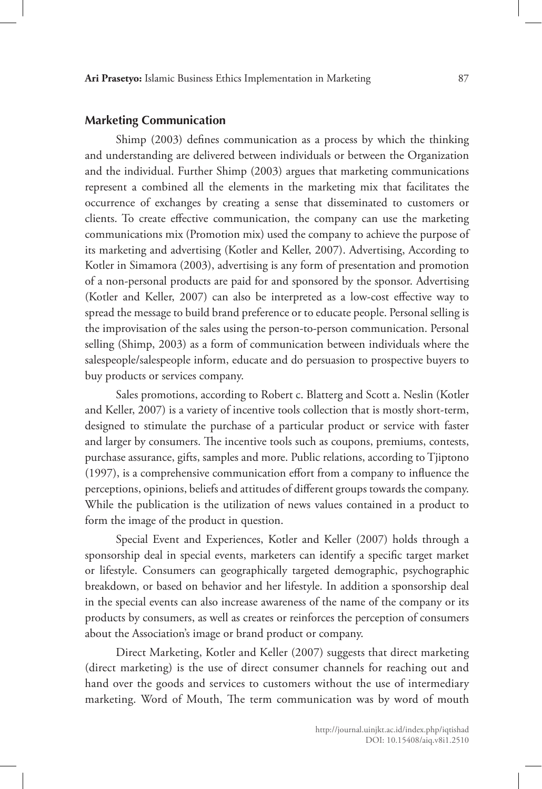#### **Marketing Communication**

Shimp (2003) defines communication as a process by which the thinking and understanding are delivered between individuals or between the Organization and the individual. Further Shimp (2003) argues that marketing communications represent a combined all the elements in the marketing mix that facilitates the occurrence of exchanges by creating a sense that disseminated to customers or clients. To create effective communication, the company can use the marketing communications mix (Promotion mix) used the company to achieve the purpose of its marketing and advertising (Kotler and Keller, 2007). Advertising, According to Kotler in Simamora (2003), advertising is any form of presentation and promotion of a non-personal products are paid for and sponsored by the sponsor. Advertising (Kotler and Keller, 2007) can also be interpreted as a low-cost effective way to spread the message to build brand preference or to educate people. Personal selling is the improvisation of the sales using the person-to-person communication. Personal selling (Shimp, 2003) as a form of communication between individuals where the salespeople/salespeople inform, educate and do persuasion to prospective buyers to buy products or services company.

Sales promotions, according to Robert c. Blatterg and Scott a. Neslin (Kotler and Keller, 2007) is a variety of incentive tools collection that is mostly short-term, designed to stimulate the purchase of a particular product or service with faster and larger by consumers. The incentive tools such as coupons, premiums, contests, purchase assurance, gifts, samples and more. Public relations, according to Tjiptono (1997), is a comprehensive communication effort from a company to influence the perceptions, opinions, beliefs and attitudes of different groups towards the company. While the publication is the utilization of news values contained in a product to form the image of the product in question.

Special Event and Experiences, Kotler and Keller (2007) holds through a sponsorship deal in special events, marketers can identify a specific target market or lifestyle. Consumers can geographically targeted demographic, psychographic breakdown, or based on behavior and her lifestyle. In addition a sponsorship deal in the special events can also increase awareness of the name of the company or its products by consumers, as well as creates or reinforces the perception of consumers about the Association's image or brand product or company.

Direct Marketing, Kotler and Keller (2007) suggests that direct marketing (direct marketing) is the use of direct consumer channels for reaching out and hand over the goods and services to customers without the use of intermediary marketing. Word of Mouth, The term communication was by word of mouth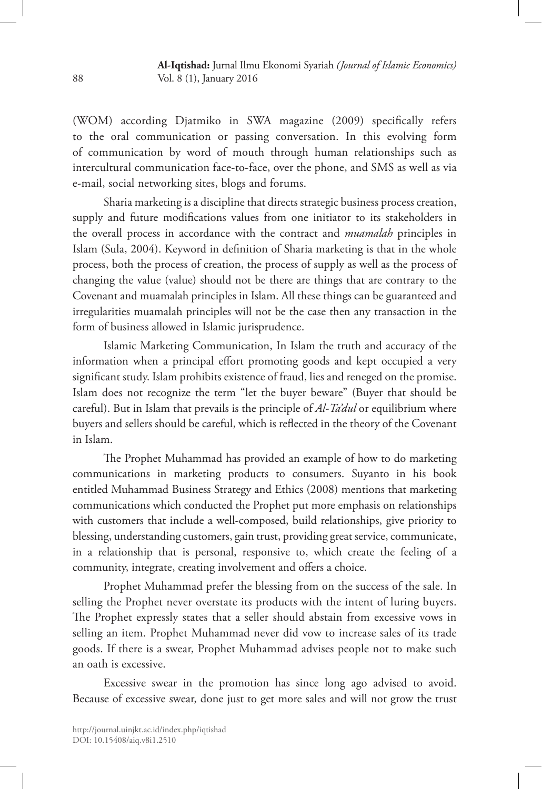(WOM) according Djatmiko in SWA magazine (2009) specifically refers to the oral communication or passing conversation. In this evolving form of communication by word of mouth through human relationships such as intercultural communication face-to-face, over the phone, and SMS as well as via e-mail, social networking sites, blogs and forums.

Sharia marketing is a discipline that directs strategic business process creation, supply and future modifications values from one initiator to its stakeholders in the overall process in accordance with the contract and *muamalah* principles in Islam (Sula, 2004). Keyword in definition of Sharia marketing is that in the whole process, both the process of creation, the process of supply as well as the process of changing the value (value) should not be there are things that are contrary to the Covenant and muamalah principles in Islam. All these things can be guaranteed and irregularities muamalah principles will not be the case then any transaction in the form of business allowed in Islamic jurisprudence.

Islamic Marketing Communication, In Islam the truth and accuracy of the information when a principal effort promoting goods and kept occupied a very significant study. Islam prohibits existence of fraud, lies and reneged on the promise. Islam does not recognize the term "let the buyer beware" (Buyer that should be careful). But in Islam that prevails is the principle of *Al-Ta'dul* or equilibrium where buyers and sellers should be careful, which is reflected in the theory of the Covenant in Islam.

The Prophet Muhammad has provided an example of how to do marketing communications in marketing products to consumers. Suyanto in his book entitled Muhammad Business Strategy and Ethics (2008) mentions that marketing communications which conducted the Prophet put more emphasis on relationships with customers that include a well-composed, build relationships, give priority to blessing, understanding customers, gain trust, providing great service, communicate, in a relationship that is personal, responsive to, which create the feeling of a community, integrate, creating involvement and offers a choice.

Prophet Muhammad prefer the blessing from on the success of the sale. In selling the Prophet never overstate its products with the intent of luring buyers. The Prophet expressly states that a seller should abstain from excessive vows in selling an item. Prophet Muhammad never did vow to increase sales of its trade goods. If there is a swear, Prophet Muhammad advises people not to make such an oath is excessive.

Excessive swear in the promotion has since long ago advised to avoid. Because of excessive swear, done just to get more sales and will not grow the trust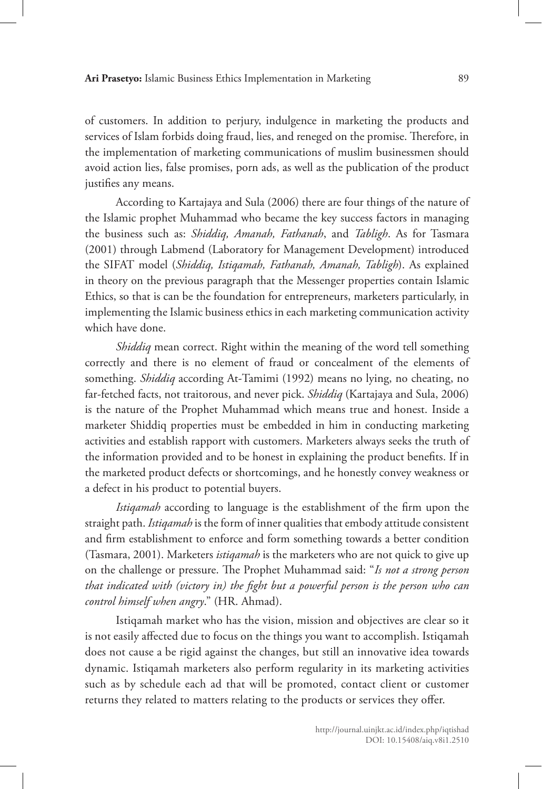of customers. In addition to perjury, indulgence in marketing the products and services of Islam forbids doing fraud, lies, and reneged on the promise. Therefore, in the implementation of marketing communications of muslim businessmen should avoid action lies, false promises, porn ads, as well as the publication of the product justifies any means.

According to Kartajaya and Sula (2006) there are four things of the nature of the Islamic prophet Muhammad who became the key success factors in managing the business such as: *Shiddiq, Amanah, Fathanah*, and *Tabligh*. As for Tasmara (2001) through Labmend (Laboratory for Management Development) introduced the SIFAT model (*Shiddiq, Istiqamah, Fathanah, Amanah, Tabligh*). As explained in theory on the previous paragraph that the Messenger properties contain Islamic Ethics, so that is can be the foundation for entrepreneurs, marketers particularly, in implementing the Islamic business ethics in each marketing communication activity which have done.

*Shiddiq* mean correct. Right within the meaning of the word tell something correctly and there is no element of fraud or concealment of the elements of something. *Shiddiq* according At-Tamimi (1992) means no lying, no cheating, no far-fetched facts, not traitorous, and never pick. *Shiddiq* (Kartajaya and Sula, 2006) is the nature of the Prophet Muhammad which means true and honest. Inside a marketer Shiddiq properties must be embedded in him in conducting marketing activities and establish rapport with customers. Marketers always seeks the truth of the information provided and to be honest in explaining the product benefits. If in the marketed product defects or shortcomings, and he honestly convey weakness or a defect in his product to potential buyers.

*Istiqamah* according to language is the establishment of the firm upon the straight path. *Istiqamah* is the form of inner qualities that embody attitude consistent and firm establishment to enforce and form something towards a better condition (Tasmara, 2001). Marketers *istiqamah* is the marketers who are not quick to give up on the challenge or pressure. The Prophet Muhammad said: "*Is not a strong person that indicated with (victory in) the fight but a powerful person is the person who can control himself when angry*." (HR. Ahmad).

Istiqamah market who has the vision, mission and objectives are clear so it is not easily affected due to focus on the things you want to accomplish. Istiqamah does not cause a be rigid against the changes, but still an innovative idea towards dynamic. Istiqamah marketers also perform regularity in its marketing activities such as by schedule each ad that will be promoted, contact client or customer returns they related to matters relating to the products or services they offer.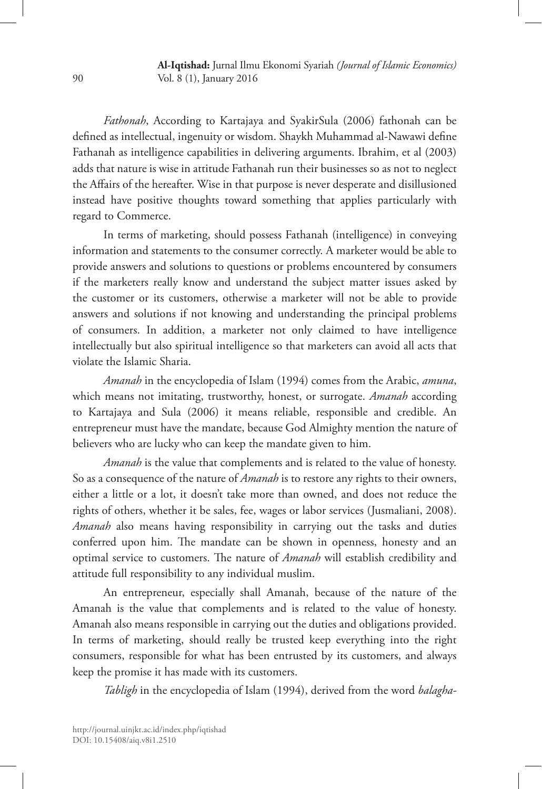**Al-Iqtishad:** Jurnal Ilmu Ekonomi Syariah *(Journal of Islamic Economics)* Vol. 8 (1), January 2016

*Fathonah*, According to Kartajaya and SyakirSula (2006) fathonah can be defined as intellectual, ingenuity or wisdom. Shaykh Muhammad al-Nawawi define Fathanah as intelligence capabilities in delivering arguments. Ibrahim, et al (2003) adds that nature is wise in attitude Fathanah run their businesses so as not to neglect the Affairs of the hereafter. Wise in that purpose is never desperate and disillusioned instead have positive thoughts toward something that applies particularly with regard to Commerce.

In terms of marketing, should possess Fathanah (intelligence) in conveying information and statements to the consumer correctly. A marketer would be able to provide answers and solutions to questions or problems encountered by consumers if the marketers really know and understand the subject matter issues asked by the customer or its customers, otherwise a marketer will not be able to provide answers and solutions if not knowing and understanding the principal problems of consumers. In addition, a marketer not only claimed to have intelligence intellectually but also spiritual intelligence so that marketers can avoid all acts that violate the Islamic Sharia.

*Amanah* in the encyclopedia of Islam (1994) comes from the Arabic, *amuna*, which means not imitating, trustworthy, honest, or surrogate. *Amanah* according to Kartajaya and Sula (2006) it means reliable, responsible and credible. An entrepreneur must have the mandate, because God Almighty mention the nature of believers who are lucky who can keep the mandate given to him.

*Amanah* is the value that complements and is related to the value of honesty. So as a consequence of the nature of *Amanah* is to restore any rights to their owners, either a little or a lot, it doesn't take more than owned, and does not reduce the rights of others, whether it be sales, fee, wages or labor services (Jusmaliani, 2008). *Amanah* also means having responsibility in carrying out the tasks and duties conferred upon him. The mandate can be shown in openness, honesty and an optimal service to customers. The nature of *Amanah* will establish credibility and attitude full responsibility to any individual muslim.

An entrepreneur, especially shall Amanah, because of the nature of the Amanah is the value that complements and is related to the value of honesty. Amanah also means responsible in carrying out the duties and obligations provided. In terms of marketing, should really be trusted keep everything into the right consumers, responsible for what has been entrusted by its customers, and always keep the promise it has made with its customers.

*Tabligh* in the encyclopedia of Islam (1994), derived from the word *balagha-*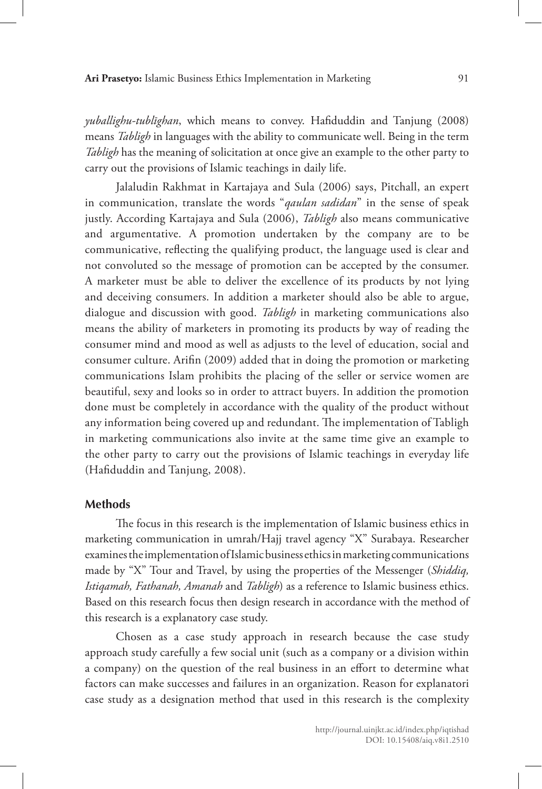*yuballighu-tublīghan*, which means to convey. Hafiduddin and Tanjung (2008) means *Tabligh* in languages with the ability to communicate well. Being in the term *Tabligh* has the meaning of solicitation at once give an example to the other party to carry out the provisions of Islamic teachings in daily life.

Jalaludin Rakhmat in Kartajaya and Sula (2006) says, Pitchall, an expert in communication, translate the words "*qaulan sadidan*" in the sense of speak justly. According Kartajaya and Sula (2006), *Tabligh* also means communicative and argumentative. A promotion undertaken by the company are to be communicative, reflecting the qualifying product, the language used is clear and not convoluted so the message of promotion can be accepted by the consumer. A marketer must be able to deliver the excellence of its products by not lying and deceiving consumers. In addition a marketer should also be able to argue, dialogue and discussion with good. *Tabligh* in marketing communications also means the ability of marketers in promoting its products by way of reading the consumer mind and mood as well as adjusts to the level of education, social and consumer culture. Arifin (2009) added that in doing the promotion or marketing communications Islam prohibits the placing of the seller or service women are beautiful, sexy and looks so in order to attract buyers. In addition the promotion done must be completely in accordance with the quality of the product without any information being covered up and redundant. The implementation of Tabligh in marketing communications also invite at the same time give an example to the other party to carry out the provisions of Islamic teachings in everyday life (Hafiduddin and Tanjung, 2008).

## **Methods**

The focus in this research is the implementation of Islamic business ethics in marketing communication in umrah/Hajj travel agency "X" Surabaya. Researcher examines the implementation of Islamic business ethics in marketing communications made by "X" Tour and Travel, by using the properties of the Messenger (*Shiddiq, Istiqamah, Fathanah, Amanah* and *Tabligh*) as a reference to Islamic business ethics. Based on this research focus then design research in accordance with the method of this research is a explanatory case study.

Chosen as a case study approach in research because the case study approach study carefully a few social unit (such as a company or a division within a company) on the question of the real business in an effort to determine what factors can make successes and failures in an organization. Reason for explanatori case study as a designation method that used in this research is the complexity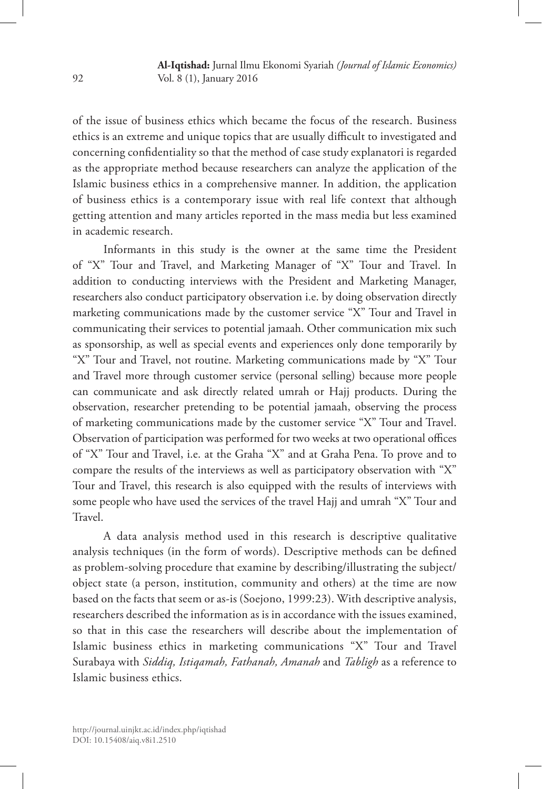of the issue of business ethics which became the focus of the research. Business ethics is an extreme and unique topics that are usually difficult to investigated and concerning confidentiality so that the method of case study explanatori is regarded as the appropriate method because researchers can analyze the application of the Islamic business ethics in a comprehensive manner. In addition, the application of business ethics is a contemporary issue with real life context that although getting attention and many articles reported in the mass media but less examined in academic research.

Informants in this study is the owner at the same time the President of "X" Tour and Travel, and Marketing Manager of "X" Tour and Travel. In addition to conducting interviews with the President and Marketing Manager, researchers also conduct participatory observation i.e. by doing observation directly marketing communications made by the customer service "X" Tour and Travel in communicating their services to potential jamaah. Other communication mix such as sponsorship, as well as special events and experiences only done temporarily by "X" Tour and Travel, not routine. Marketing communications made by "X" Tour and Travel more through customer service (personal selling) because more people can communicate and ask directly related umrah or Hajj products. During the observation, researcher pretending to be potential jamaah, observing the process of marketing communications made by the customer service "X" Tour and Travel. Observation of participation was performed for two weeks at two operational offices of "X" Tour and Travel, i.e. at the Graha "X" and at Graha Pena. To prove and to compare the results of the interviews as well as participatory observation with "X" Tour and Travel, this research is also equipped with the results of interviews with some people who have used the services of the travel Hajj and umrah "X" Tour and Travel.

A data analysis method used in this research is descriptive qualitative analysis techniques (in the form of words). Descriptive methods can be defined as problem-solving procedure that examine by describing/illustrating the subject/ object state (a person, institution, community and others) at the time are now based on the facts that seem or as-is (Soejono, 1999:23). With descriptive analysis, researchers described the information as is in accordance with the issues examined, so that in this case the researchers will describe about the implementation of Islamic business ethics in marketing communications "X" Tour and Travel Surabaya with *Siddiq, Istiqamah, Fathanah, Amanah* and *Tabligh* as a reference to Islamic business ethics.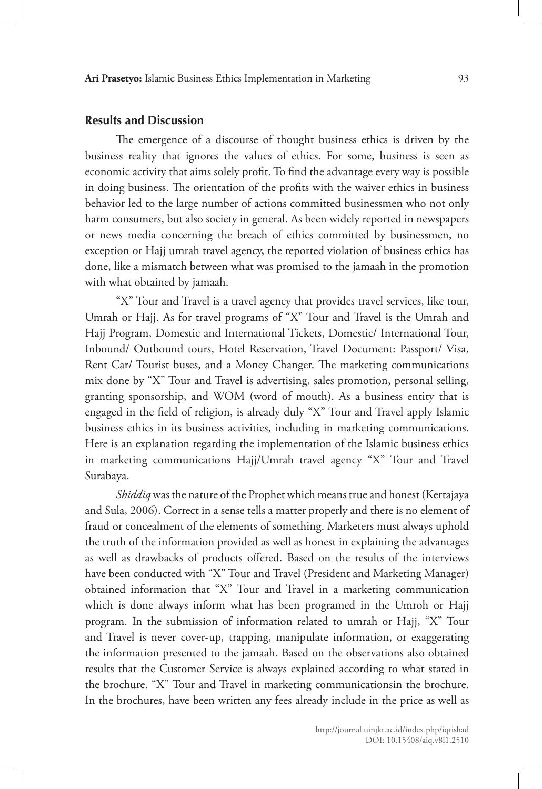## **Results and Discussion**

The emergence of a discourse of thought business ethics is driven by the business reality that ignores the values of ethics. For some, business is seen as economic activity that aims solely profit. To find the advantage every way is possible in doing business. The orientation of the profits with the waiver ethics in business behavior led to the large number of actions committed businessmen who not only harm consumers, but also society in general. As been widely reported in newspapers or news media concerning the breach of ethics committed by businessmen, no exception or Hajj umrah travel agency, the reported violation of business ethics has done, like a mismatch between what was promised to the jamaah in the promotion with what obtained by jamaah.

"X" Tour and Travel is a travel agency that provides travel services, like tour, Umrah or Hajj. As for travel programs of "X" Tour and Travel is the Umrah and Hajj Program, Domestic and International Tickets, Domestic/ International Tour, Inbound/ Outbound tours, Hotel Reservation, Travel Document: Passport/ Visa, Rent Car/ Tourist buses, and a Money Changer. The marketing communications mix done by "X" Tour and Travel is advertising, sales promotion, personal selling, granting sponsorship, and WOM (word of mouth). As a business entity that is engaged in the field of religion, is already duly "X" Tour and Travel apply Islamic business ethics in its business activities, including in marketing communications. Here is an explanation regarding the implementation of the Islamic business ethics in marketing communications Hajj/Umrah travel agency "X" Tour and Travel Surabaya.

*Shiddiq* was the nature of the Prophet which means true and honest (Kertajaya and Sula, 2006). Correct in a sense tells a matter properly and there is no element of fraud or concealment of the elements of something. Marketers must always uphold the truth of the information provided as well as honest in explaining the advantages as well as drawbacks of products offered. Based on the results of the interviews have been conducted with "X" Tour and Travel (President and Marketing Manager) obtained information that "X" Tour and Travel in a marketing communication which is done always inform what has been programed in the Umroh or Hajj program. In the submission of information related to umrah or Hajj, "X" Tour and Travel is never cover-up, trapping, manipulate information, or exaggerating the information presented to the jamaah. Based on the observations also obtained results that the Customer Service is always explained according to what stated in the brochure. "X" Tour and Travel in marketing communicationsin the brochure. In the brochures, have been written any fees already include in the price as well as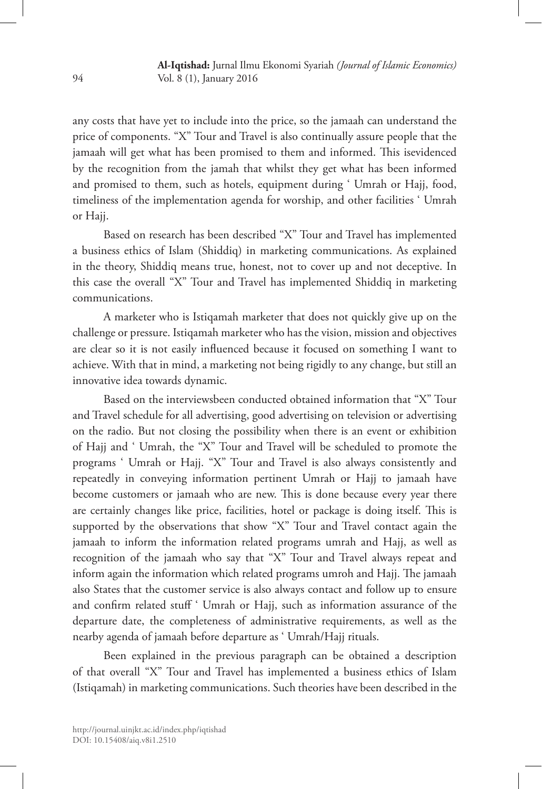any costs that have yet to include into the price, so the jamaah can understand the price of components. "X" Tour and Travel is also continually assure people that the jamaah will get what has been promised to them and informed. This isevidenced by the recognition from the jamah that whilst they get what has been informed and promised to them, such as hotels, equipment during ' Umrah or Hajj, food, timeliness of the implementation agenda for worship, and other facilities ' Umrah or Hajj.

Based on research has been described "X" Tour and Travel has implemented a business ethics of Islam (Shiddiq) in marketing communications. As explained in the theory, Shiddiq means true, honest, not to cover up and not deceptive. In this case the overall "X" Tour and Travel has implemented Shiddiq in marketing communications.

A marketer who is Istiqamah marketer that does not quickly give up on the challenge or pressure. Istiqamah marketer who has the vision, mission and objectives are clear so it is not easily influenced because it focused on something I want to achieve. With that in mind, a marketing not being rigidly to any change, but still an innovative idea towards dynamic.

Based on the interviewsbeen conducted obtained information that "X" Tour and Travel schedule for all advertising, good advertising on television or advertising on the radio. But not closing the possibility when there is an event or exhibition of Hajj and ' Umrah, the "X" Tour and Travel will be scheduled to promote the programs ' Umrah or Hajj. "X" Tour and Travel is also always consistently and repeatedly in conveying information pertinent Umrah or Hajj to jamaah have become customers or jamaah who are new. This is done because every year there are certainly changes like price, facilities, hotel or package is doing itself. This is supported by the observations that show "X" Tour and Travel contact again the jamaah to inform the information related programs umrah and Hajj, as well as recognition of the jamaah who say that "X" Tour and Travel always repeat and inform again the information which related programs umroh and Hajj. The jamaah also States that the customer service is also always contact and follow up to ensure and confirm related stuff ' Umrah or Hajj, such as information assurance of the departure date, the completeness of administrative requirements, as well as the nearby agenda of jamaah before departure as ' Umrah/Hajj rituals.

Been explained in the previous paragraph can be obtained a description of that overall "X" Tour and Travel has implemented a business ethics of Islam (Istiqamah) in marketing communications. Such theories have been described in the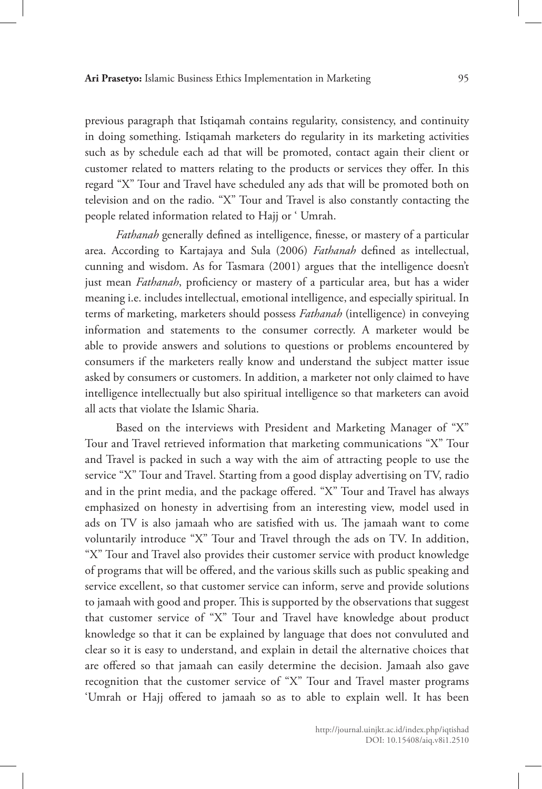previous paragraph that Istiqamah contains regularity, consistency, and continuity in doing something. Istiqamah marketers do regularity in its marketing activities such as by schedule each ad that will be promoted, contact again their client or customer related to matters relating to the products or services they offer. In this regard "X" Tour and Travel have scheduled any ads that will be promoted both on television and on the radio. "X" Tour and Travel is also constantly contacting the people related information related to Hajj or ' Umrah.

*Fathanah* generally defined as intelligence, finesse, or mastery of a particular area. According to Kartajaya and Sula (2006) *Fathanah* defined as intellectual, cunning and wisdom. As for Tasmara (2001) argues that the intelligence doesn't just mean *Fathanah*, proficiency or mastery of a particular area, but has a wider meaning i.e. includes intellectual, emotional intelligence, and especially spiritual. In terms of marketing, marketers should possess *Fathanah* (intelligence) in conveying information and statements to the consumer correctly. A marketer would be able to provide answers and solutions to questions or problems encountered by consumers if the marketers really know and understand the subject matter issue asked by consumers or customers. In addition, a marketer not only claimed to have intelligence intellectually but also spiritual intelligence so that marketers can avoid all acts that violate the Islamic Sharia.

Based on the interviews with President and Marketing Manager of "X" Tour and Travel retrieved information that marketing communications "X" Tour and Travel is packed in such a way with the aim of attracting people to use the service "X" Tour and Travel. Starting from a good display advertising on TV, radio and in the print media, and the package offered. "X" Tour and Travel has always emphasized on honesty in advertising from an interesting view, model used in ads on TV is also jamaah who are satisfied with us. The jamaah want to come voluntarily introduce "X" Tour and Travel through the ads on TV. In addition, "X" Tour and Travel also provides their customer service with product knowledge of programs that will be offered, and the various skills such as public speaking and service excellent, so that customer service can inform, serve and provide solutions to jamaah with good and proper. This is supported by the observations that suggest that customer service of "X" Tour and Travel have knowledge about product knowledge so that it can be explained by language that does not convuluted and clear so it is easy to understand, and explain in detail the alternative choices that are offered so that jamaah can easily determine the decision. Jamaah also gave recognition that the customer service of "X" Tour and Travel master programs 'Umrah or Hajj offered to jamaah so as to able to explain well. It has been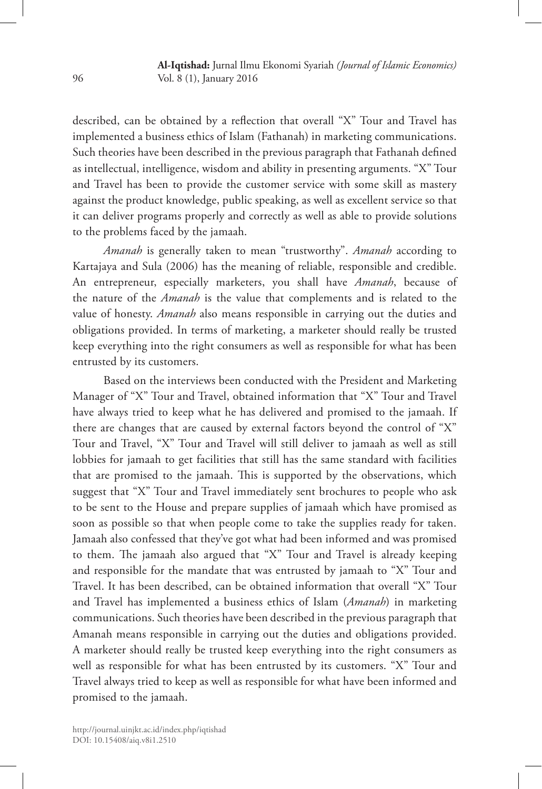described, can be obtained by a reflection that overall "X" Tour and Travel has implemented a business ethics of Islam (Fathanah) in marketing communications. Such theories have been described in the previous paragraph that Fathanah defined as intellectual, intelligence, wisdom and ability in presenting arguments. "X" Tour and Travel has been to provide the customer service with some skill as mastery against the product knowledge, public speaking, as well as excellent service so that it can deliver programs properly and correctly as well as able to provide solutions to the problems faced by the jamaah.

*Amanah* is generally taken to mean "trustworthy". *Amanah* according to Kartajaya and Sula (2006) has the meaning of reliable, responsible and credible. An entrepreneur, especially marketers, you shall have *Amanah*, because of the nature of the *Amanah* is the value that complements and is related to the value of honesty. *Amanah* also means responsible in carrying out the duties and obligations provided. In terms of marketing, a marketer should really be trusted keep everything into the right consumers as well as responsible for what has been entrusted by its customers.

Based on the interviews been conducted with the President and Marketing Manager of "X" Tour and Travel, obtained information that "X" Tour and Travel have always tried to keep what he has delivered and promised to the jamaah. If there are changes that are caused by external factors beyond the control of "X" Tour and Travel, "X" Tour and Travel will still deliver to jamaah as well as still lobbies for jamaah to get facilities that still has the same standard with facilities that are promised to the jamaah. This is supported by the observations, which suggest that "X" Tour and Travel immediately sent brochures to people who ask to be sent to the House and prepare supplies of jamaah which have promised as soon as possible so that when people come to take the supplies ready for taken. Jamaah also confessed that they've got what had been informed and was promised to them. The jamaah also argued that "X" Tour and Travel is already keeping and responsible for the mandate that was entrusted by jamaah to "X" Tour and Travel. It has been described, can be obtained information that overall "X" Tour and Travel has implemented a business ethics of Islam (*Amanah*) in marketing communications. Such theories have been described in the previous paragraph that Amanah means responsible in carrying out the duties and obligations provided. A marketer should really be trusted keep everything into the right consumers as well as responsible for what has been entrusted by its customers. "X" Tour and Travel always tried to keep as well as responsible for what have been informed and promised to the jamaah.

DOI: 10.15408/aiq.v8i1.2510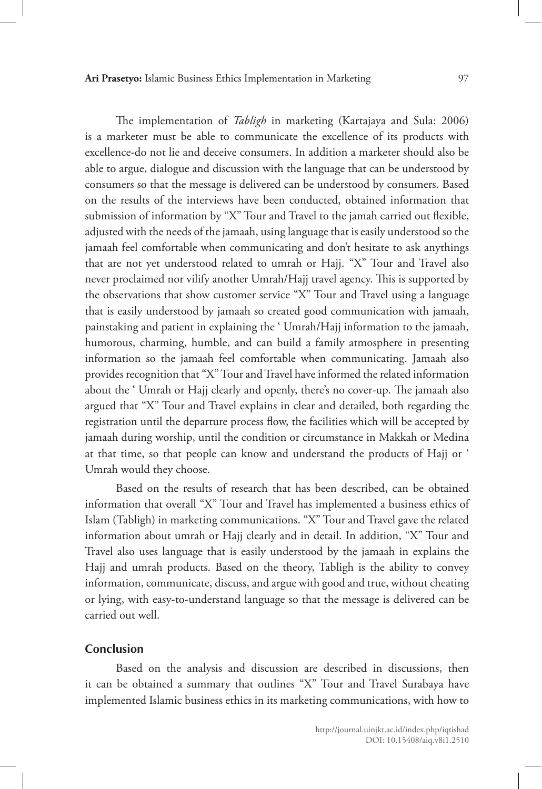The implementation of *Tabligh* in marketing (Kartajaya and Sula: 2006) is a marketer must be able to communicate the excellence of its products with excellence-do not lie and deceive consumers. In addition a marketer should also be able to argue, dialogue and discussion with the language that can be understood by consumers so that the message is delivered can be understood by consumers. Based on the results of the interviews have been conducted, obtained information that submission of information by "X" Tour and Travel to the jamah carried out flexible, adjusted with the needs of the jamaah, using language that is easily understood so the jamaah feel comfortable when communicating and don't hesitate to ask anythings that are not yet understood related to umrah or Hajj. "X" Tour and Travel also never proclaimed nor vilify another Umrah/Hajj travel agency. This is supported by the observations that show customer service "X" Tour and Travel using a language that is easily understood by jamaah so created good communication with jamaah, painstaking and patient in explaining the ' Umrah/Hajj information to the jamaah, humorous, charming, humble, and can build a family atmosphere in presenting information so the jamaah feel comfortable when communicating. Jamaah also provides recognition that "X" Tour and Travel have informed the related information about the ' Umrah or Hajj clearly and openly, there's no cover-up. The jamaah also argued that "X" Tour and Travel explains in clear and detailed, both regarding the registration until the departure process flow, the facilities which will be accepted by jamaah during worship, until the condition or circumstance in Makkah or Medina at that time, so that people can know and understand the products of Hajj or ' Umrah would they choose.

Based on the results of research that has been described, can be obtained information that overall "X" Tour and Travel has implemented a business ethics of Islam (Tabligh) in marketing communications. "X" Tour and Travel gave the related information about umrah or Hajj clearly and in detail. In addition, "X" Tour and Travel also uses language that is easily understood by the jamaah in explains the Hajj and umrah products. Based on the theory, Tabligh is the ability to convey information, communicate, discuss, and argue with good and true, without cheating or lying, with easy-to-understand language so that the message is delivered can be carried out well.

## **Conclusion**

Based on the analysis and discussion are described in discussions, then it can be obtained a summary that outlines "X" Tour and Travel Surabaya have implemented Islamic business ethics in its marketing communications, with how to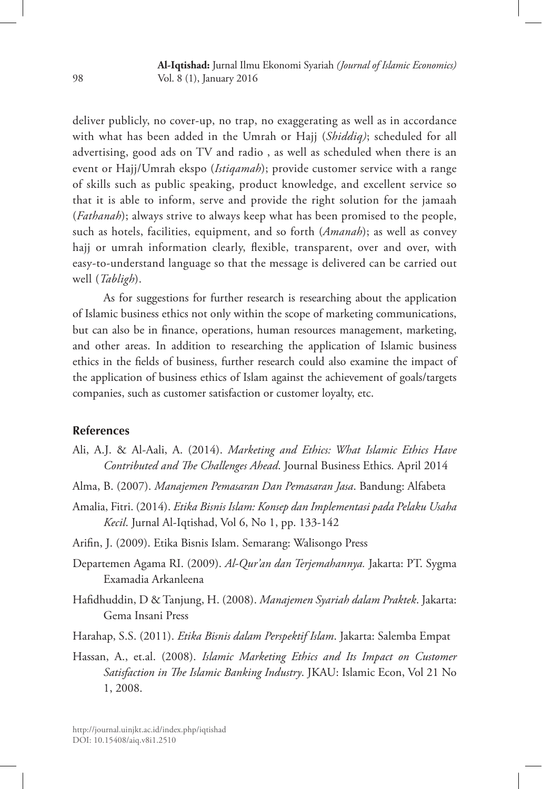**Al-Iqtishad:** Jurnal Ilmu Ekonomi Syariah *(Journal of Islamic Economics)* Vol. 8 (1), January 2016

deliver publicly, no cover-up, no trap, no exaggerating as well as in accordance with what has been added in the Umrah or Hajj (*Shiddiq)*; scheduled for all advertising, good ads on TV and radio , as well as scheduled when there is an event or Hajj/Umrah ekspo (*Istiqamah*); provide customer service with a range of skills such as public speaking, product knowledge, and excellent service so that it is able to inform, serve and provide the right solution for the jamaah (*Fathanah*); always strive to always keep what has been promised to the people, such as hotels, facilities, equipment, and so forth (*Amanah*); as well as convey hajj or umrah information clearly, flexible, transparent, over and over, with easy-to-understand language so that the message is delivered can be carried out well (*Tabligh*).

As for suggestions for further research is researching about the application of Islamic business ethics not only within the scope of marketing communications, but can also be in finance, operations, human resources management, marketing, and other areas. In addition to researching the application of Islamic business ethics in the fields of business, further research could also examine the impact of the application of business ethics of Islam against the achievement of goals/targets companies, such as customer satisfaction or customer loyalty, etc.

## **References**

- Ali, A.J. & Al-Aali, A. (2014). *Marketing and Ethics: What Islamic Ethics Have Contributed and The Challenges Ahead*. Journal Business Ethics*.* April 2014
- Alma, B. (2007). *Manajemen Pemasaran Dan Pemasaran Jasa*. Bandung: Alfabeta
- Amalia, Fitri. (2014). *Etika Bisnis Islam: Konsep dan Implementasi pada Pelaku Usaha Kecil*. Jurnal Al-Iqtishad, Vol 6, No 1, pp. 133-142
- Arifin, J. (2009). Etika Bisnis Islam. Semarang: Walisongo Press
- Departemen Agama RI. (2009). *Al-Qur'an dan Terjemahannya.* Jakarta: PT. Sygma Examadia Arkanleena
- Hafidhuddin, D & Tanjung, H. (2008). *Manajemen Syariah dalam Praktek*. Jakarta: Gema Insani Press
- Harahap, S.S. (2011). *Etika Bisnis dalam Perspektif Islam*. Jakarta: Salemba Empat
- Hassan, A., et.al. (2008). *Islamic Marketing Ethics and Its Impact on Customer Satisfaction in The Islamic Banking Industry*. JKAU: Islamic Econ, Vol 21 No 1, 2008.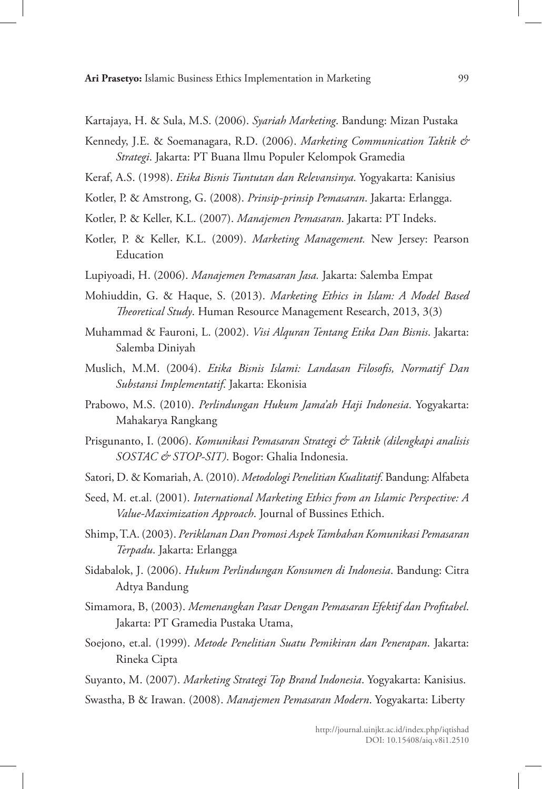Kartajaya, H. & Sula, M.S. (2006). *Syariah Marketing*. Bandung: Mizan Pustaka

- Kennedy, J.E. & Soemanagara, R.D. (2006). *Marketing Communication Taktik & Strategi*. Jakarta: PT Buana Ilmu Populer Kelompok Gramedia
- Keraf, A.S. (1998). *Etika Bisnis Tuntutan dan Relevansinya.* Yogyakarta: Kanisius
- Kotler, P. & Amstrong, G. (2008). *Prinsip-prinsip Pemasaran*. Jakarta: Erlangga.
- Kotler, P. & Keller, K.L. (2007). *Manajemen Pemasaran*. Jakarta: PT Indeks.
- Kotler, P. & Keller, K.L. (2009). *Marketing Management.* New Jersey: Pearson **Education**
- Lupiyoadi, H. (2006). *Manajemen Pemasaran Jasa.* Jakarta: Salemba Empat
- Mohiuddin, G. & Haque, S. (2013). *Marketing Ethics in Islam: A Model Based Theoretical Study*. Human Resource Management Research, 2013, 3(3)
- Muhammad & Fauroni, L. (2002). *Visi Alquran Tentang Etika Dan Bisnis*. Jakarta: Salemba Diniyah
- Muslich, M.M. (2004). *Etika Bisnis Islami: Landasan Filosofis, Normatif Dan Substansi Implementatif*. Jakarta: Ekonisia
- Prabowo, M.S. (2010). *Perlindungan Hukum Jama'ah Haji Indonesia*. Yogyakarta: Mahakarya Rangkang
- Prisgunanto, I. (2006). *Komunikasi Pemasaran Strategi & Taktik (dilengkapi analisis SOSTAC & STOP-SIT)*. Bogor: Ghalia Indonesia.
- Satori, D. & Komariah, A. (2010). *Metodologi Penelitian Kualitatif*. Bandung: Alfabeta
- Seed, M. et.al. (2001). *International Marketing Ethics from an Islamic Perspective: A Value-Maximization Approach*. Journal of Bussines Ethich.
- Shimp, T.A. (2003). *Periklanan Dan Promosi Aspek Tambahan Komunikasi Pemasaran Terpadu*. Jakarta: Erlangga
- Sidabalok, J. (2006). *Hukum Perlindungan Konsumen di Indonesia*. Bandung: Citra Adtya Bandung
- Simamora, B, (2003). *Memenangkan Pasar Dengan Pemasaran Efektif dan Profitabel*. Jakarta: PT Gramedia Pustaka Utama,
- Soejono, et.al. (1999). *Metode Penelitian Suatu Pemikiran dan Penerapan*. Jakarta: Rineka Cipta

Suyanto, M. (2007). *Marketing Strategi Top Brand Indonesia*. Yogyakarta: Kanisius.

Swastha, B & Irawan. (2008). *Manajemen Pemasaran Modern*. Yogyakarta: Liberty